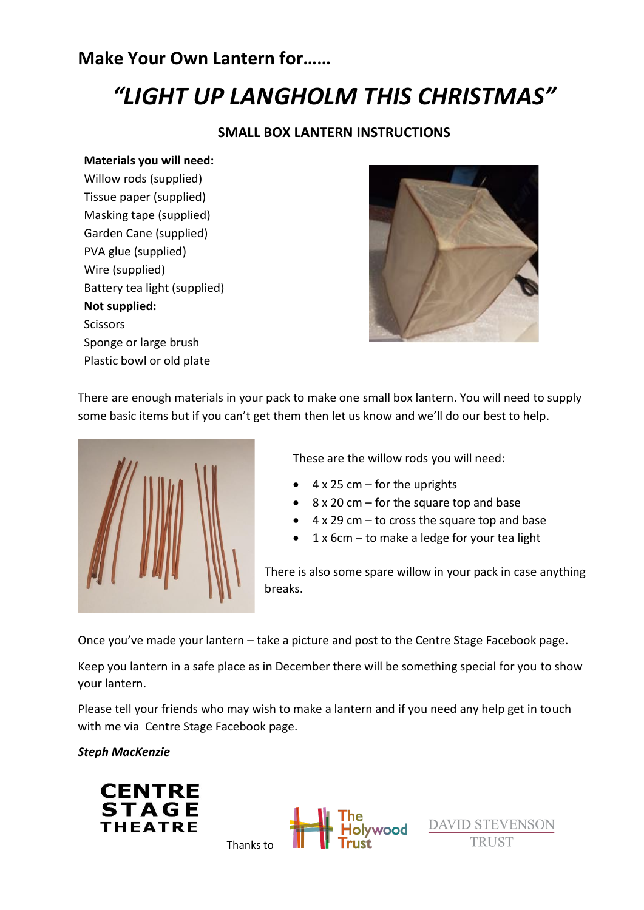## **Make Your Own Lantern for……**

# *"LIGHT UP LANGHOLM THIS CHRISTMAS"*

### **Materials you will need:** Willow rods (supplied) Tissue paper (supplied) Masking tape (supplied) Garden Cane (supplied) PVA glue (supplied) Wire (supplied) Battery tea light (supplied) **Not supplied: Scissors** Sponge or large brush Plastic bowl or old plate

#### **SMALL BOX LANTERN INSTRUCTIONS**



There are enough materials in your pack to make one small box lantern. You will need to supply some basic items but if you can't get them then let us know and we'll do our best to help.



These are the willow rods you will need:

- $\bullet$  4 x 25 cm for the uprights
- $\bullet$  8 x 20 cm for the square top and base
- $\bullet$  4 x 29 cm to cross the square top and base
- $1 \times 6$ cm to make a ledge for your tea light

There is also some spare willow in your pack in case anything breaks.

Once you've made your lantern – take a picture and post to the Centre Stage Facebook page.

Keep you lantern in a safe place as in December there will be something special for you to show your lantern.

Please tell your friends who may wish to make a lantern and if you need any help get in touch with me via Centre Stage Facebook page.

#### *Steph MacKenzie*





DAVID STEVENSON **TRUST**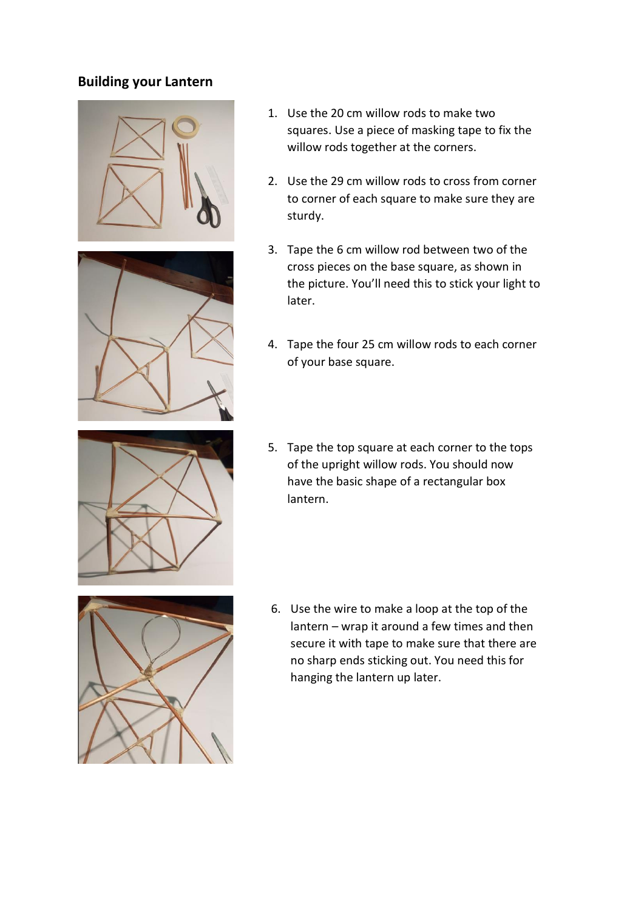#### **Building your Lantern**





- 1. Use the 20 cm willow rods to make two squares. Use a piece of masking tape to fix the willow rods together at the corners.
- 2. Use the 29 cm willow rods to cross from corner to corner of each square to make sure they are sturdy.
- 3. Tape the 6 cm willow rod between two of the cross pieces on the base square, as shown in the picture. You'll need this to stick your light to later.
- 4. Tape the four 25 cm willow rods to each corner of your base square.



5. Tape the top square at each corner to the tops of the upright willow rods. You should now have the basic shape of a rectangular box lantern.



6. Use the wire to make a loop at the top of the lantern – wrap it around a few times and then secure it with tape to make sure that there are no sharp ends sticking out. You need this for hanging the lantern up later.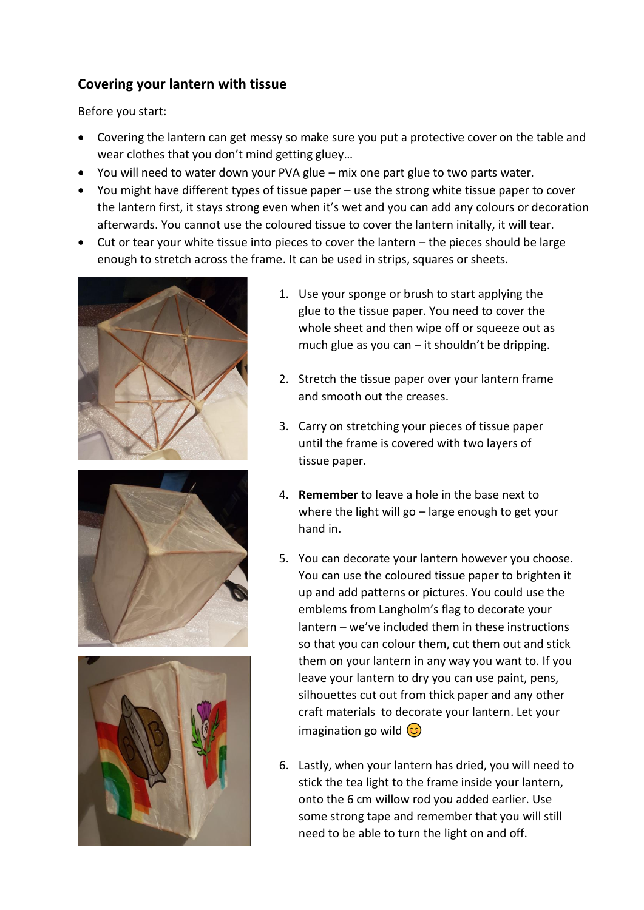#### **Covering your lantern with tissue**

Before you start:

- Covering the lantern can get messy so make sure you put a protective cover on the table and wear clothes that you don't mind getting gluey…
- You will need to water down your PVA glue mix one part glue to two parts water.
- You might have different types of tissue paper use the strong white tissue paper to cover the lantern first, it stays strong even when it's wet and you can add any colours or decoration afterwards. You cannot use the coloured tissue to cover the lantern initally, it will tear.
- Cut or tear your white tissue into pieces to cover the lantern the pieces should be large enough to stretch across the frame. It can be used in strips, squares or sheets.







- 1. Use your sponge or brush to start applying the glue to the tissue paper. You need to cover the whole sheet and then wipe off or squeeze out as much glue as you can  $-$  it shouldn't be dripping.
- 2. Stretch the tissue paper over your lantern frame and smooth out the creases.
- 3. Carry on stretching your pieces of tissue paper until the frame is covered with two layers of tissue paper.
- 4. **Remember** to leave a hole in the base next to where the light will go – large enough to get your hand in.
- 5. You can decorate your lantern however you choose. You can use the coloured tissue paper to brighten it up and add patterns or pictures. You could use the emblems from Langholm's flag to decorate your lantern – we've included them in these instructions so that you can colour them, cut them out and stick them on your lantern in any way you want to. If you leave your lantern to dry you can use paint, pens, silhouettes cut out from thick paper and any other craft materials to decorate your lantern. Let your imagination go wild  $\odot$
- 6. Lastly, when your lantern has dried, you will need to stick the tea light to the frame inside your lantern, onto the 6 cm willow rod you added earlier. Use some strong tape and remember that you will still need to be able to turn the light on and off.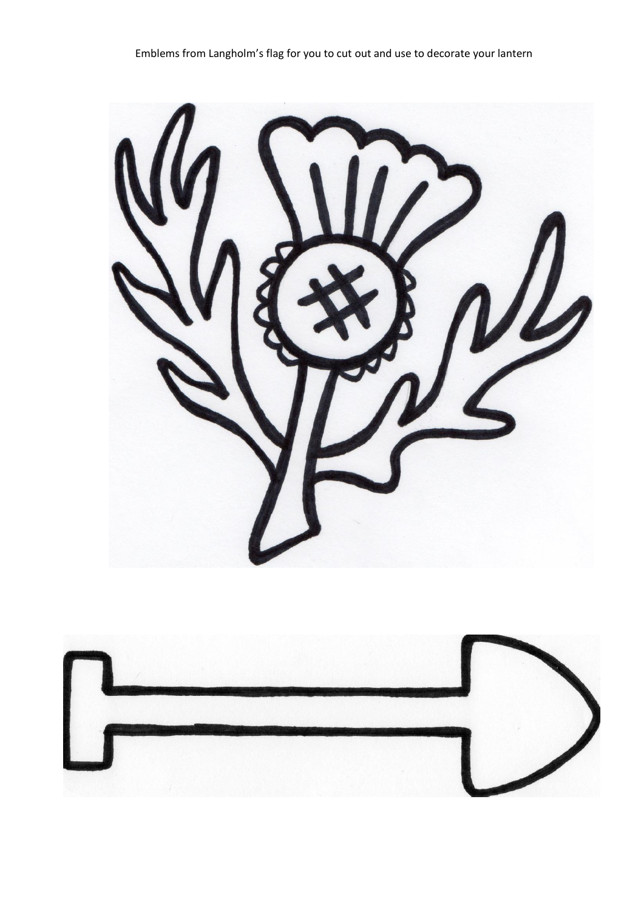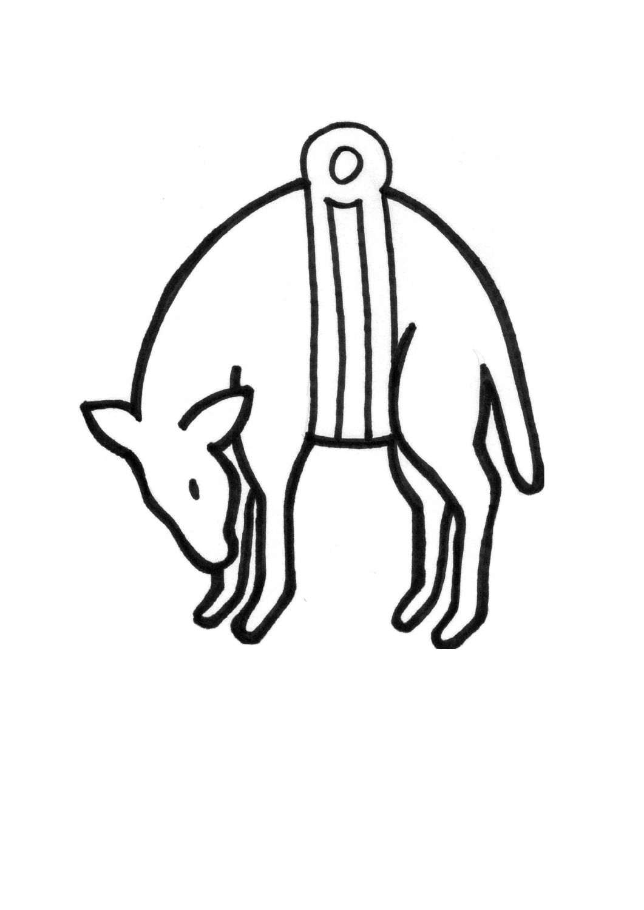